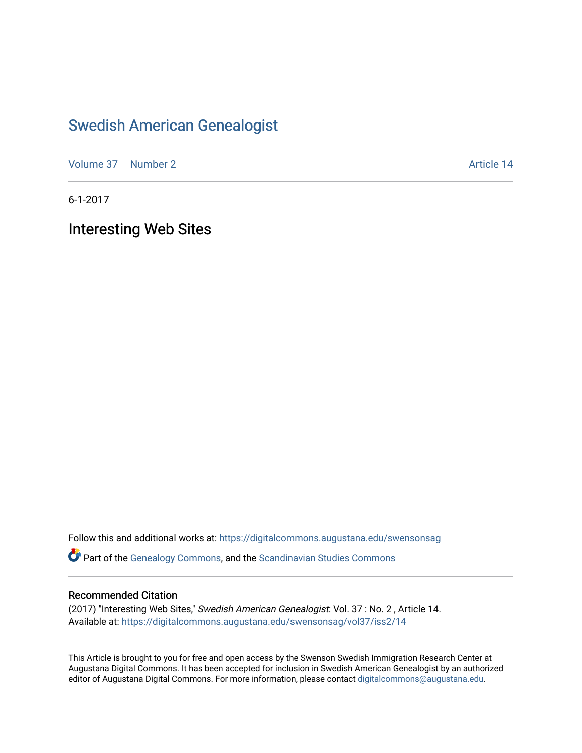## [Swedish American Genealogist](https://digitalcommons.augustana.edu/swensonsag)

[Volume 37](https://digitalcommons.augustana.edu/swensonsag/vol37) [Number 2](https://digitalcommons.augustana.edu/swensonsag/vol37/iss2) Article 14

6-1-2017

Interesting Web Sites

Follow this and additional works at: [https://digitalcommons.augustana.edu/swensonsag](https://digitalcommons.augustana.edu/swensonsag?utm_source=digitalcommons.augustana.edu%2Fswensonsag%2Fvol37%2Fiss2%2F14&utm_medium=PDF&utm_campaign=PDFCoverPages) 

Part of the [Genealogy Commons,](http://network.bepress.com/hgg/discipline/1342?utm_source=digitalcommons.augustana.edu%2Fswensonsag%2Fvol37%2Fiss2%2F14&utm_medium=PDF&utm_campaign=PDFCoverPages) and the [Scandinavian Studies Commons](http://network.bepress.com/hgg/discipline/485?utm_source=digitalcommons.augustana.edu%2Fswensonsag%2Fvol37%2Fiss2%2F14&utm_medium=PDF&utm_campaign=PDFCoverPages)

## Recommended Citation

(2017) "Interesting Web Sites," Swedish American Genealogist: Vol. 37 : No. 2 , Article 14. Available at: [https://digitalcommons.augustana.edu/swensonsag/vol37/iss2/14](https://digitalcommons.augustana.edu/swensonsag/vol37/iss2/14?utm_source=digitalcommons.augustana.edu%2Fswensonsag%2Fvol37%2Fiss2%2F14&utm_medium=PDF&utm_campaign=PDFCoverPages) 

This Article is brought to you for free and open access by the Swenson Swedish Immigration Research Center at Augustana Digital Commons. It has been accepted for inclusion in Swedish American Genealogist by an authorized editor of Augustana Digital Commons. For more information, please contact [digitalcommons@augustana.edu.](mailto:digitalcommons@augustana.edu)